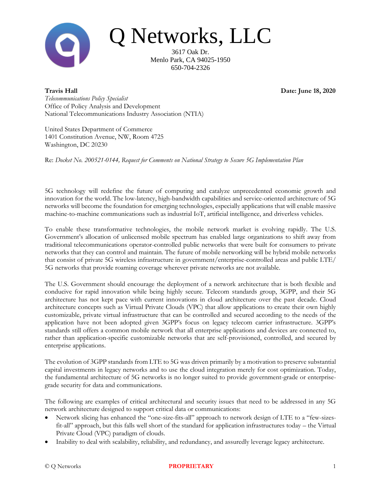

Q Networks, LLC

3617 Oak Dr. Menlo Park, CA 94025-1950 650-704-2326

**Travis Hall Date: June 18, 2020**

*Telecommunications Policy Specialist* Office of Policy Analysis and Development National Telecommunications Industry Association (NTIA)

United States Department of Commerce 1401 Constitution Avenue, NW, Room 4725 Washington, DC 20230

Re: *Docket No. 200521-0144, Request for Comments on National Strategy to Secure 5G Implementation Plan*

5G technology will redefine the future of computing and catalyze unprecedented economic growth and innovation for the world. The low-latency, high-bandwidth capabilities and service-oriented architecture of 5G networks will become the foundation for emerging technologies, especially applications that will enable massive machine-to-machine communications such as industrial IoT, artificial intelligence, and driverless vehicles.

To enable these transformative technologies, the mobile network market is evolving rapidly. The U.S. Government's allocation of unlicensed mobile spectrum has enabled large organizations to shift away from traditional telecommunications operator-controlled public networks that were built for consumers to private networks that they can control and maintain. The future of mobile networking will be hybrid mobile networks that consist of private 5G wireless infrastructure in government/enterprise-controlled areas and public LTE/ 5G networks that provide roaming coverage wherever private networks are not available.

The U.S. Government should encourage the deployment of a network architecture that is both flexible and conducive for rapid innovation while being highly secure. Telecom standards group, 3GPP, and their 5G architecture has not kept pace with current innovations in cloud architecture over the past decade. Cloud architecture concepts such as Virtual Private Clouds (VPC) that allow applications to create their own highly customizable, private virtual infrastructure that can be controlled and secured according to the needs of the application have not been adopted given 3GPP's focus on legacy telecom carrier infrastructure. 3GPP's standards still offers a common mobile network that all enterprise applications and devices are connected to, rather than application-specific customizable networks that are self-provisioned, controlled, and secured by enterprise applications.

The evolution of 3GPP standards from LTE to 5G was driven primarily by a motivation to preserve substantial capital investments in legacy networks and to use the cloud integration merely for cost optimization. Today, the fundamental architecture of 5G networks is no longer suited to provide government-grade or enterprisegrade security for data and communications.

The following are examples of critical architectural and security issues that need to be addressed in any 5G network architecture designed to support critical data or communications:

- Network slicing has enhanced the "one-size-fits-all" approach to network design of LTE to a "few-sizesfit-all" approach, but this falls well short of the standard for application infrastructures today – the Virtual Private Cloud (VPC) paradigm of clouds.
- Inability to deal with scalability, reliability, and redundancy, and assuredly leverage legacy architecture.

### © Q Networks **PROPRIETARY** 1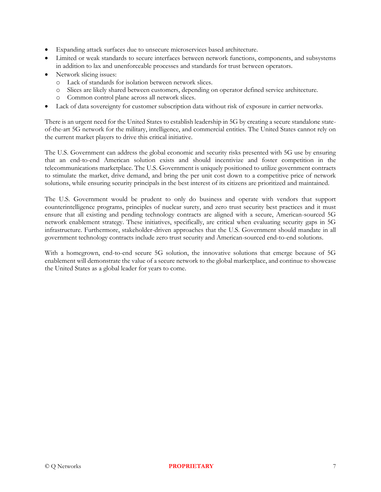- Expanding attack surfaces due to unsecure microservices based architecture.
- Limited or weak standards to secure interfaces between network functions, components, and subsystems in addition to lax and unenforceable processes and standards for trust between operators.
- Network slicing issues:
	- o Lack of standards for isolation between network slices.
	- o Slices are likely shared between customers, depending on operator defined service architecture.
	- o Common control plane across all network slices.
- Lack of data sovereignty for customer subscription data without risk of exposure in carrier networks.

There is an urgent need for the United States to establish leadership in 5G by creating a secure standalone stateof-the-art 5G network for the military, intelligence, and commercial entities. The United States cannot rely on the current market players to drive this critical initiative.

The U.S. Government can address the global economic and security risks presented with 5G use by ensuring that an end-to-end American solution exists and should incentivize and foster competition in the telecommunications marketplace. The U.S. Government is uniquely positioned to utilize government contracts to stimulate the market, drive demand, and bring the per unit cost down to a competitive price of network solutions, while ensuring security principals in the best interest of its citizens are prioritized and maintained.

The U.S. Government would be prudent to only do business and operate with vendors that support counterintelligence programs, principles of nuclear surety, and zero trust security best practices and it must ensure that all existing and pending technology contracts are aligned with a secure, American-sourced 5G network enablement strategy. These initiatives, specifically, are critical when evaluating security gaps in 5G infrastructure. Furthermore, stakeholder-driven approaches that the U.S. Government should mandate in all government technology contracts include zero trust security and American-sourced end-to-end solutions.

With a homegrown, end-to-end secure 5G solution, the innovative solutions that emerge because of 5G enablement will demonstrate the value of a secure network to the global marketplace, and continue to showcase the United States as a global leader for years to come.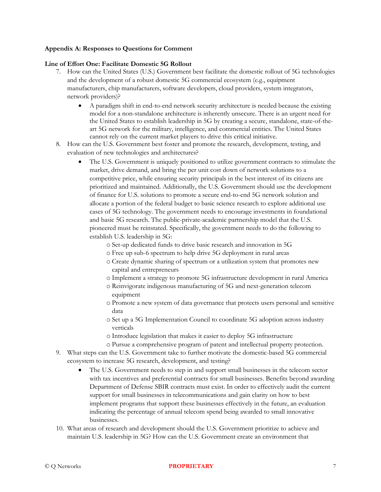### **Appendix A: Responses to Questions for Comment**

### **Line of Effort One: Facilitate Domestic 5G Rollout**

- 7. How can the United States (U.S.) Government best facilitate the domestic rollout of 5G technologies and the development of a robust domestic 5G commercial ecosystem (e.g., equipment manufacturers, chip manufacturers, software developers, cloud providers, system integrators, network providers)?
	- A paradigm shift in end-to-end network security architecture is needed because the existing model for a non-standalone architecture is inherently unsecure. There is an urgent need for the United States to establish leadership in 5G by creating a secure, standalone, state-of-theart 5G network for the military, intelligence, and commercial entities. The United States cannot rely on the current market players to drive this critical initiative.
- 8. How can the U.S. Government best foster and promote the research, development, testing, and evaluation of new technologies and architectures?
	- The U.S. Government is uniquely positioned to utilize government contracts to stimulate the market, drive demand, and bring the per unit cost down of network solutions to a competitive price, while ensuring security principals in the best interest of its citizens are prioritized and maintained. Additionally, the U.S. Government should use the development of finance for U.S. solutions to promote a secure end-to-end 5G network solution and allocate a portion of the federal budget to basic science research to explore additional use cases of 5G technology. The government needs to encourage investments in foundational and basic 5G research. The public-private-academic partnership model that the U.S. pioneered must be reinstated. Specifically, the government needs to do the following to establish U.S. leadership in 5G:
		- o Set-up dedicated funds to drive basic research and innovation in 5G
		- o Free up sub-6 spectrum to help drive 5G deployment in rural areas
		- o Create dynamic sharing of spectrum or a utilization system that promotes new capital and entrepreneurs
		- o Implement a strategy to promote 5G infrastructure development in rural America
		- o Reinvigorate indigenous manufacturing of 5G and next-generation telecom equipment
		- o Promote a new system of data governance that protects users personal and sensitive data
		- o Set up a 5G Implementation Council to coordinate 5G adoption across industry verticals
		- o Introduce legislation that makes it easier to deploy 5G infrastructure
		- o Pursue a comprehensive program of patent and intellectual property protection.
- 9. What steps can the U.S. Government take to further motivate the domestic-based 5G commercial ecosystem to increase 5G research, development, and testing?
	- The U.S. Government needs to step in and support small businesses in the telecom sector with tax incentives and preferential contracts for small businesses. Benefits beyond awarding Department of Defense SBIR contracts must exist. In order to effectively audit the current support for small businesses in telecommunications and gain clarity on how to best implement programs that support these businesses effectively in the future, an evaluation indicating the percentage of annual telecom spend being awarded to small innovative businesses.
- 10. What areas of research and development should the U.S. Government prioritize to achieve and maintain U.S. leadership in 5G? How can the U.S. Government create an environment that

#### © Q Networks **PROPRIETARY** 7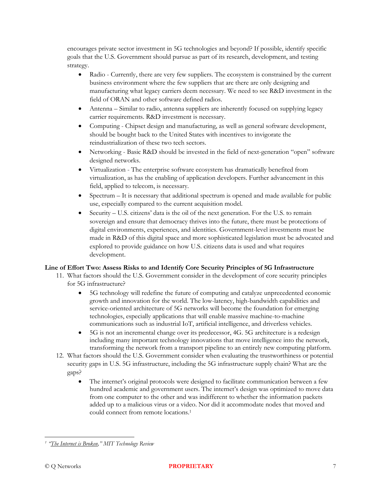encourages private sector investment in 5G technologies and beyond? If possible, identify specific goals that the U.S. Government should pursue as part of its research, development, and testing strategy.

- Radio Currently, there are very few suppliers. The ecosystem is constrained by the current business environment where the few suppliers that are there are only designing and manufacturing what legacy carriers deem necessary. We need to see R&D investment in the field of ORAN and other software defined radios.
- Antenna Similar to radio, antenna suppliers are inherently focused on supplying legacy carrier requirements. R&D investment is necessary.
- Computing Chipset design and manufacturing, as well as general software development, should be bought back to the United States with incentives to invigorate the reindustrialization of these two tech sectors.
- Networking Basic R&D should be invested in the field of next-generation "open" software designed networks.
- Virtualization The enterprise software ecosystem has dramatically benefited from virtualization, as has the enabling of application developers. Further advancement in this field, applied to telecom, is necessary.
- Spectrum It is necessary that additional spectrum is opened and made available for public use, especially compared to the current acquisition model.
- Security U.S. citizens' data is the oil of the next generation. For the U.S. to remain sovereign and ensure that democracy thrives into the future, there must be protections of digital environments, experiences, and identities. Government-level investments must be made in R&D of this digital space and more sophisticated legislation must be advocated and explored to provide guidance on how U.S. citizens data is used and what requires development.

# **Line of Effort Two: Assess Risks to and Identify Core Security Principles of 5G Infrastructure**

- 11. What factors should the U.S. Government consider in the development of core security principles for 5G infrastructure?
	- 5G technology will redefine the future of computing and catalyze unprecedented economic growth and innovation for the world. The low-latency, high-bandwidth capabilities and service-oriented architecture of 5G networks will become the foundation for emerging technologies, especially applications that will enable massive machine-to-machine communications such as industrial IoT, artificial intelligence, and driverless vehicles.
	- 5G is not an incremental change over its predecessor, 4G. 5G architecture is a redesign including many important technology innovations that move intelligence into the network, transforming the network from a transport pipeline to an entirely new computing platform.
- 12. What factors should the U.S. Government consider when evaluating the trustworthiness or potential security gaps in U.S. 5G infrastructure, including the 5G infrastructure supply chain? What are the gaps?
	- The internet's original protocols were designed to facilitate communication between a few hundred academic and government users. The internet's design was optimized to move data from one computer to the other and was indifferent to whether the information packets added up to a malicious virus or a video. Nor did it accommodate nodes that moved and could connect from remote locations.<sup>1</sup>

*<sup>1</sup> "[The Internet is Broken](https://www.technologyreview.com/s/405318/the-internet-is-broken/)," MIT Technology Review*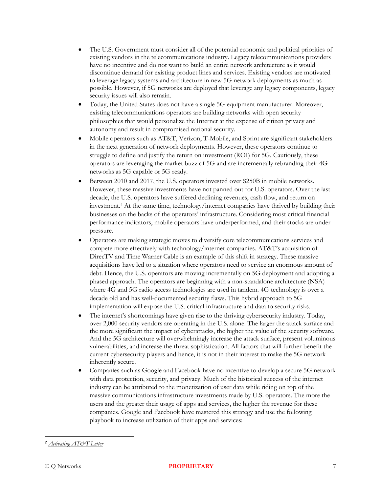- The U.S. Government must consider all of the potential economic and political priorities of existing vendors in the telecommunications industry. Legacy telecommunications providers have no incentive and do not want to build an entire network architecture as it would discontinue demand for existing product lines and services. Existing vendors are motivated to leverage legacy systems and architecture in new 5G network deployments as much as possible. However, if 5G networks are deployed that leverage any legacy components, legacy security issues will also remain.
- Today, the United States does not have a single 5G equipment manufacturer. Moreover, existing telecommunications operators are building networks with open security philosophies that would personalize the Internet at the expense of citizen privacy and autonomy and result in compromised national security.
- Mobile operators such as AT&T, Verizon, T-Mobile, and Sprint are significant stakeholders in the next generation of network deployments. However, these operators continue to struggle to define and justify the return on investment (ROI) for 5G. Cautiously, these operators are leveraging the market buzz of 5G and are incrementally rebranding their 4G networks as 5G capable or 5G ready.
- Between 2010 and 2017, the U.S. operators invested over \$250B in mobile networks. However, these massive investments have not panned out for U.S. operators. Over the last decade, the U.S. operators have suffered declining revenues, cash flow, and return on investment.<sup>2</sup> At the same time, technology/internet companies have thrived by building their businesses on the backs of the operators' infrastructure. Considering most critical financial performance indicators, mobile operators have underperformed, and their stocks are under pressure.
- Operators are making strategic moves to diversify core telecommunications services and compete more effectively with technology/internet companies. AT&T's acquisition of DirecTV and Time Warner Cable is an example of this shift in strategy. These massive acquisitions have led to a situation where operators need to service an enormous amount of debt. Hence, the U.S. operators are moving incrementally on 5G deployment and adopting a phased approach. The operators are beginning with a non-standalone architecture (NSA) where 4G and 5G radio access technologies are used in tandem. 4G technology is over a decade old and has well-documented security flaws. This hybrid approach to 5G implementation will expose the U.S. critical infrastructure and data to security risks.
- The internet's shortcomings have given rise to the thriving cybersecurity industry. Today, over 2,000 security vendors are operating in the U.S. alone. The larger the attack surface and the more significant the impact of cyberattacks, the higher the value of the security software. And the 5G architecture will overwhelmingly increase the attack surface, present voluminous vulnerabilities, and increase the threat sophistication. All factors that will further benefit the current cybersecurity players and hence, it is not in their interest to make the 5G network inherently secure.
- Companies such as Google and Facebook have no incentive to develop a secure 5G network with data protection, security, and privacy. Much of the historical success of the internet industry can be attributed to the monetization of user data while riding on top of the massive communications infrastructure investments made by U.S. operators. The more the users and the greater their usage of apps and services, the higher the revenue for these companies. Google and Facebook have mastered this strategy and use the following playbook to increase utilization of their apps and services:

*<sup>2</sup> [Activating AT&T Letter](https://activatingatt.com/letter/)*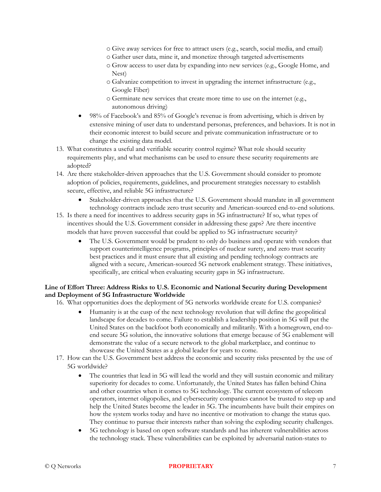- o Give away services for free to attract users (e.g., search, social media, and email)
- o Gather user data, mine it, and monetize through targeted advertisements
- o Grow access to user data by expanding into new services (e.g., Google Home, and Nest)
- o Galvanize competition to invest in upgrading the internet infrastructure (e.g., Google Fiber)
- o Germinate new services that create more time to use on the internet (e.g., autonomous driving)
- 98% of Facebook's and 85% of Google's revenue is from advertising, which is driven by extensive mining of user data to understand personas, preferences, and behaviors. It is not in their economic interest to build secure and private communication infrastructure or to change the existing data model.
- 13. What constitutes a useful and verifiable security control regime? What role should security requirements play, and what mechanisms can be used to ensure these security requirements are adopted?
- 14. Are there stakeholder-driven approaches that the U.S. Government should consider to promote adoption of policies, requirements, guidelines, and procurement strategies necessary to establish secure, effective, and reliable 5G infrastructure?
	- Stakeholder-driven approaches that the U.S. Government should mandate in all government technology contracts include zero trust security and American-sourced end-to-end solutions.
- 15. Is there a need for incentives to address security gaps in 5G infrastructure? If so, what types of incentives should the U.S. Government consider in addressing these gaps? Are there incentive models that have proven successful that could be applied to 5G infrastructure security?
	- The U.S. Government would be prudent to only do business and operate with vendors that support counterintelligence programs, principles of nuclear surety, and zero trust security best practices and it must ensure that all existing and pending technology contracts are aligned with a secure, American-sourced 5G network enablement strategy. These initiatives, specifically, are critical when evaluating security gaps in 5G infrastructure.

## **Line of Effort Three: Address Risks to U.S. Economic and National Security during Development and Deployment of 5G Infrastructure Worldwide**

- 16. What opportunities does the deployment of 5G networks worldwide create for U.S. companies?
	- Humanity is at the cusp of the next technology revolution that will define the geopolitical landscape for decades to come. Failure to establish a leadership position in 5G will put the United States on the backfoot both economically and militarily. With a homegrown, end-toend secure 5G solution, the innovative solutions that emerge because of 5G enablement will demonstrate the value of a secure network to the global marketplace, and continue to showcase the United States as a global leader for years to come.
- 17. How can the U.S. Government best address the economic and security risks presented by the use of 5G worldwide?
	- The countries that lead in 5G will lead the world and they will sustain economic and military superiority for decades to come. Unfortunately, the United States has fallen behind China and other countries when it comes to 5G technology. The current ecosystem of telecom operators, internet oligopolies, and cybersecurity companies cannot be trusted to step up and help the United States become the leader in 5G. The incumbents have built their empires on how the system works today and have no incentive or motivation to change the status quo. They continue to pursue their interests rather than solving the exploding security challenges.
	- 5G technology is based on open software standards and has inherent vulnerabilities across the technology stack. These vulnerabilities can be exploited by adversarial nation-states to

#### © Q Networks **PROPRIETARY** 7